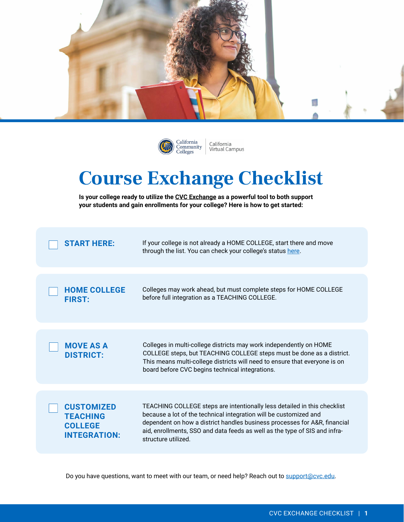



California<br>Virtual Campus

## **Course Exchange Checklist**

**Is your college ready to utilize the [CVC Exchange](https://cvc.edu/) as a powerful tool to both support your students and gain enrollments for your college? Here is how to get started:**

| <b>START HERE:</b>                                                            | If your college is not already a HOME COLLEGE, start there and move<br>through the list. You can check your college's status here.                                                                                                                                                                                              |
|-------------------------------------------------------------------------------|---------------------------------------------------------------------------------------------------------------------------------------------------------------------------------------------------------------------------------------------------------------------------------------------------------------------------------|
| <b>HOME COLLEGE</b><br><b>FIRST:</b>                                          | Colleges may work ahead, but must complete steps for HOME COLLEGE<br>before full integration as a TEACHING COLLEGE.                                                                                                                                                                                                             |
| <b>MOVE AS A</b><br><b>DISTRICT:</b>                                          | Colleges in multi-college districts may work independently on HOME<br>COLLEGE steps, but TEACHING COLLEGE steps must be done as a district.<br>This means multi-college districts will need to ensure that everyone is on<br>board before CVC begins technical integrations.                                                    |
| <b>CUSTOMIZED</b><br><b>TEACHING</b><br><b>COLLEGE</b><br><b>INTEGRATION:</b> | TEACHING COLLEGE steps are intentionally less detailed in this checklist<br>because a lot of the technical integration will be customized and<br>dependent on how a district handles business processes for A&R, financial<br>aid, enrollments, SSO and data feeds as well as the type of SIS and infra-<br>structure utilized. |

Do you have questions, want to meet with our team, or need help? Reach out to [support@cvc.edu](mailto:support%40cvc.edu?subject=).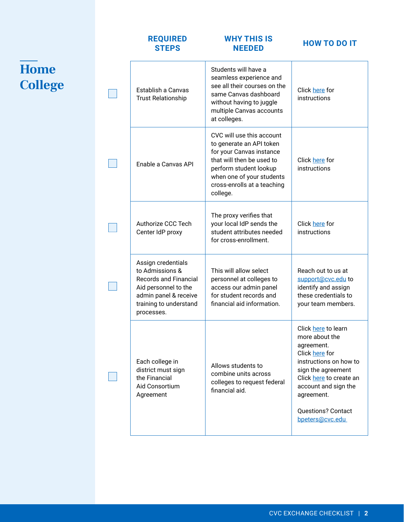| <b>REQUIRED</b><br><b>STEPS</b>                                                                                                                                | <b>WHY THIS IS</b><br><b>NEEDED</b>                                                                                                                                                                              | <b>HOW TO DO IT</b>                                                                                                                                                                                                                    |
|----------------------------------------------------------------------------------------------------------------------------------------------------------------|------------------------------------------------------------------------------------------------------------------------------------------------------------------------------------------------------------------|----------------------------------------------------------------------------------------------------------------------------------------------------------------------------------------------------------------------------------------|
| Establish a Canvas<br><b>Trust Relationship</b>                                                                                                                | Students will have a<br>seamless experience and<br>see all their courses on the<br>same Canvas dashboard<br>without having to juggle<br>multiple Canvas accounts<br>at colleges.                                 | Click here for<br>instructions                                                                                                                                                                                                         |
| Enable a Canvas API                                                                                                                                            | CVC will use this account<br>to generate an API token<br>for your Canvas instance<br>that will then be used to<br>perform student lookup<br>when one of your students<br>cross-enrolls at a teaching<br>college. | Click here for<br>instructions                                                                                                                                                                                                         |
| Authorize CCC Tech<br>Center IdP proxy                                                                                                                         | The proxy verifies that<br>your local IdP sends the<br>student attributes needed<br>for cross-enrollment.                                                                                                        | Click here for<br>instructions                                                                                                                                                                                                         |
| Assign credentials<br>to Admissions &<br><b>Records and Financial</b><br>Aid personnel to the<br>admin panel & receive<br>training to understand<br>processes. | This will allow select<br>personnel at colleges to<br>access our admin panel<br>for student records and<br>financial aid information.                                                                            | Reach out to us at<br>support@cvc.edu to<br>identify and assign<br>these credentials to<br>your team members.                                                                                                                          |
| Each college in<br>district must sign<br>the Financial<br>Aid Consortium<br>Agreement                                                                          | Allows students to<br>combine units across<br>colleges to request federal<br>financial aid.                                                                                                                      | Click here to learn<br>more about the<br>agreement.<br>Click here for<br>instructions on how to<br>sign the agreement<br>Click here to create an<br>account and sign the<br>agreement.<br><b>Questions? Contact</b><br>bpeters@cvc.edu |

## **Home College**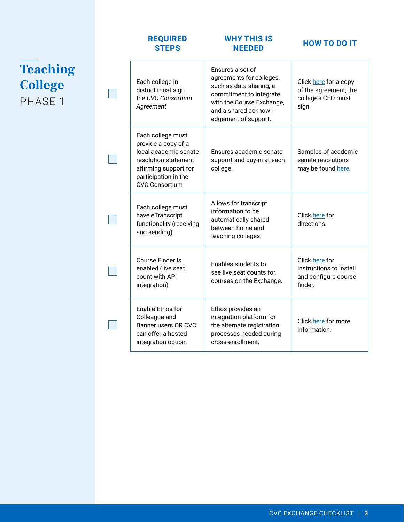| <b>REQUIRED</b><br><b>STEPS</b>                                                                                                                                     | <b>WHY THIS IS</b><br><b>NEEDED</b>                                                                                                                                              | <b>HOW TO DO IT</b>                                                           |
|---------------------------------------------------------------------------------------------------------------------------------------------------------------------|----------------------------------------------------------------------------------------------------------------------------------------------------------------------------------|-------------------------------------------------------------------------------|
| Each college in<br>district must sign<br>the CVC Consortium<br>Agreement                                                                                            | Ensures a set of<br>agreements for colleges,<br>such as data sharing, a<br>commitment to integrate<br>with the Course Exchange,<br>and a shared acknowl-<br>edgement of support. | Click here for a copy<br>of the agreement; the<br>college's CEO must<br>sign. |
| Each college must<br>provide a copy of a<br>local academic senate<br>resolution statement<br>affirming support for<br>participation in the<br><b>CVC Consortium</b> | Ensures academic senate<br>support and buy-in at each<br>college.                                                                                                                | Samples of academic<br>senate resolutions<br>may be found here.               |
| Each college must<br>have eTranscript<br>functionality (receiving<br>and sending)                                                                                   | Allows for transcript<br>information to be<br>automatically shared<br>between home and<br>teaching colleges.                                                                     | Click here for<br>directions.                                                 |
| Course Finder is<br>enabled (live seat<br>count with API<br>integration)                                                                                            | Enables students to<br>see live seat counts for<br>courses on the Exchange.                                                                                                      | Click here for<br>instructions to install<br>and configure course<br>finder.  |
| Enable Ethos for<br>Colleague and<br>Banner users OR CVC<br>can offer a hosted<br>integration option.                                                               | Ethos provides an<br>integration platform for<br>the alternate registration<br>processes needed during<br>cross-enrollment.                                                      | Click here for more<br>information.                                           |

## **Teaching College** PHASE 1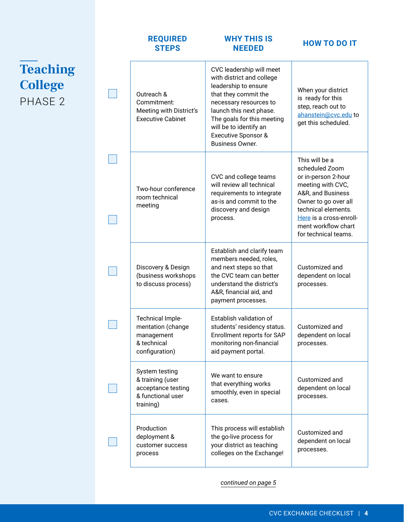|                                              | <b>REQUIRED</b><br><b>STEPS</b>                                                            | <b>WHY THIS IS</b><br><b>NEEDED</b>                                                                                                                                                                                                                                 | <b>HOW TO DO IT</b>                                                                                                                                                                                                        |
|----------------------------------------------|--------------------------------------------------------------------------------------------|---------------------------------------------------------------------------------------------------------------------------------------------------------------------------------------------------------------------------------------------------------------------|----------------------------------------------------------------------------------------------------------------------------------------------------------------------------------------------------------------------------|
| <b>Teaching</b><br><b>College</b><br>PHASE 2 | Outreach &<br>Commitment:<br>Meeting with District's<br><b>Executive Cabinet</b>           | CVC leadership will meet<br>with district and college<br>leadership to ensure<br>that they commit the<br>necessary resources to<br>launch this next phase.<br>The goals for this meeting<br>will be to identify an<br>Executive Sponsor &<br><b>Business Owner.</b> | When your district<br>is ready for this<br>step, reach out to<br>ahanstein@cvc.edu to<br>get this scheduled.                                                                                                               |
|                                              | Two-hour conference<br>room technical<br>meeting                                           | CVC and college teams<br>will review all technical<br>requirements to integrate<br>as-is and commit to the<br>discovery and design<br>process.                                                                                                                      | This will be a<br>scheduled Zoom<br>or in-person 2-hour<br>meeting with CVC,<br>A&R, and Business<br>Owner to go over all<br>technical elements.<br>Here is a cross-enroll-<br>ment workflow chart<br>for technical teams. |
|                                              | Discovery & Design<br>(business workshops<br>to discuss process)                           | Establish and clarify team<br>members needed, roles,<br>and next steps so that<br>the CVC team can better<br>understand the district's<br>A&R, financial aid, and<br>payment processes.                                                                             | Customized and<br>dependent on local<br>processes.                                                                                                                                                                         |
|                                              | Technical Imple-<br>mentation (change<br>management<br>& technical<br>configuration)       | Establish validation of<br>students' residency status.<br>Enrollment reports for SAP<br>monitoring non-financial<br>aid payment portal.                                                                                                                             | Customized and<br>dependent on local<br>processes.                                                                                                                                                                         |
|                                              | System testing<br>& training (user<br>acceptance testing<br>& functional user<br>training) | We want to ensure<br>that everything works<br>smoothly, even in special<br>cases.                                                                                                                                                                                   | Customized and<br>dependent on local<br>processes.                                                                                                                                                                         |
|                                              | Production<br>deployment &<br>customer success<br>process                                  | This process will establish<br>the go-live process for<br>your district as teaching<br>colleges on the Exchange!                                                                                                                                                    | Customized and<br>dependent on local<br>processes.                                                                                                                                                                         |

*continued on page 5*